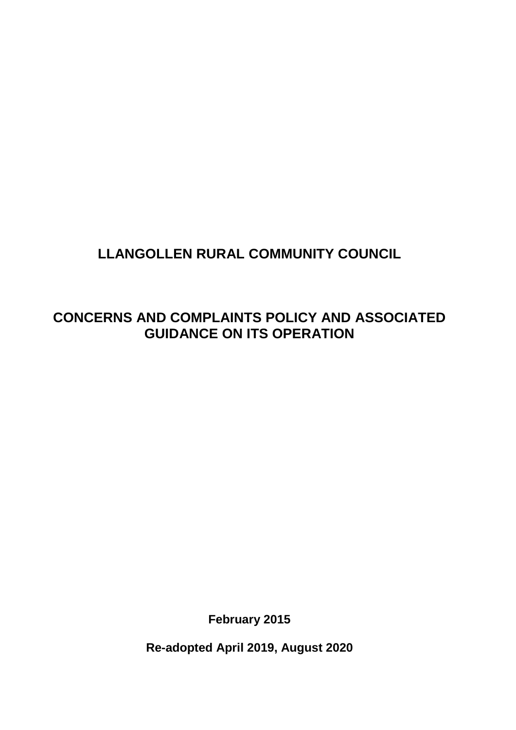# **LLANGOLLEN RURAL COMMUNITY COUNCIL**

# **CONCERNS AND COMPLAINTS POLICY AND ASSOCIATED GUIDANCE ON ITS OPERATION**

**February 2015**

**Re-adopted April 2019, August 2020**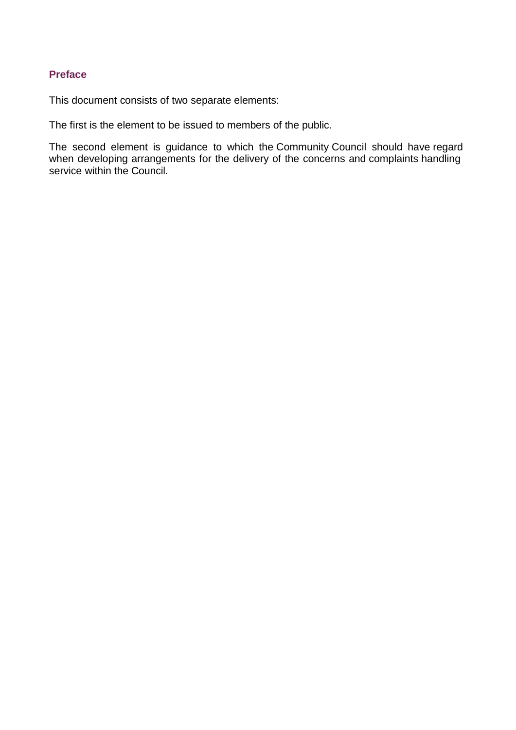# **Preface**

This document consists of two separate elements:

The first is the element to be issued to members of the public.

The second element is guidance to which the Community Council should have regard when developing arrangements for the delivery of the concerns and complaints handling service within the Council.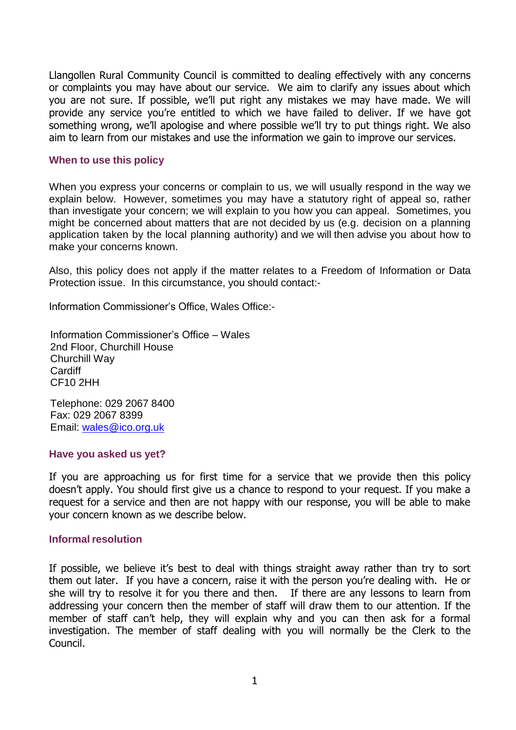Llangollen Rural Community Council is committed to dealing effectively with any concerns or complaints you may have about our service. We aim to clarify any issues about which you are not sure. If possible, we'll put right any mistakes we may have made. We will provide any service you're entitled to which we have failed to deliver. If we have got something wrong, we'll apologise and where possible we'll try to put things right. We also aim to learn from our mistakes and use the information we gain to improve our services.

#### **When to use this policy**

When you express your concerns or complain to us, we will usually respond in the way we explain below. However, sometimes you may have a statutory right of appeal so, rather than investigate your concern; we will explain to you how you can appeal. Sometimes, you might be concerned about matters that are not decided by us (e.g. decision on a planning application taken by the local planning authority) and we will then advise you about how to make your concerns known.

Also, this policy does not apply if the matter relates to a Freedom of Information or Data Protection issue. In this circumstance, you should contact:-

Information Commissioner's Office, Wales Office:-

Information Commissioner's Office – Wales 2nd Floor, Churchill House Churchill Way **Cardiff** CF10 2HH

Telephone: 029 2067 8400 Fax: 029 2067 8399 Email: [wales@ico.org.uk](mailto:wales@ico.org.uk)

#### **Have you asked us yet?**

If you are approaching us for first time for a service that we provide then this policy doesn't apply. You should first give us a chance to respond to your request. If you make a request for a service and then are not happy with our response, you will be able to make your concern known as we describe below.

#### **Informal resolution**

If possible, we believe it's best to deal with things straight away rather than try to sort them out later. If you have a concern, raise it with the person you're dealing with. He or she will try to resolve it for you there and then. If there are any lessons to learn from addressing your concern then the member of staff will draw them to our attention. If the member of staff can't help, they will explain why and you can then ask for a formal investigation. The member of staff dealing with you will normally be the Clerk to the Council.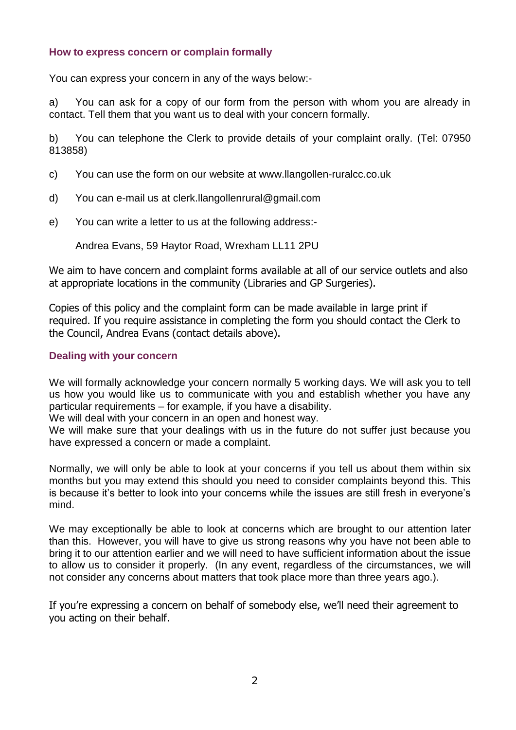### **How to express concern or complain formally**

You can express your concern in any of the ways below:-

a) You can ask for a copy of our form from the person with whom you are already in contact. Tell them that you want us to deal with your concern formally.

b) You can telephone the Clerk to provide details of your complaint orally. (Tel: 07950 813858)

- c) You can use the form on our website at www.llangollen-ruralcc.co.uk
- d) You can e-mail us at clerk.llangollenrural@gmail.com
- e) You can write a letter to us at the following address:-

Andrea Evans, 59 Haytor Road, Wrexham LL11 2PU

We aim to have concern and complaint forms available at all of our service outlets and also at appropriate locations in the community (Libraries and GP Surgeries).

Copies of this policy and the complaint form can be made available in large print if required. If you require assistance in completing the form you should contact the Clerk to the Council, Andrea Evans (contact details above).

### **Dealing with your concern**

We will formally acknowledge your concern normally 5 working days. We will ask you to tell us how you would like us to communicate with you and establish whether you have any particular requirements – for example, if you have a disability.

We will deal with your concern in an open and honest way.

We will make sure that your dealings with us in the future do not suffer just because you have expressed a concern or made a complaint.

Normally, we will only be able to look at your concerns if you tell us about them within six months but you may extend this should you need to consider complaints beyond this. This is because it's better to look into your concerns while the issues are still fresh in everyone's mind.

We may exceptionally be able to look at concerns which are brought to our attention later than this. However, you will have to give us strong reasons why you have not been able to bring it to our attention earlier and we will need to have sufficient information about the issue to allow us to consider it properly. (In any event, regardless of the circumstances, we will not consider any concerns about matters that took place more than three years ago.).

If you're expressing a concern on behalf of somebody else, we'll need their agreement to you acting on their behalf.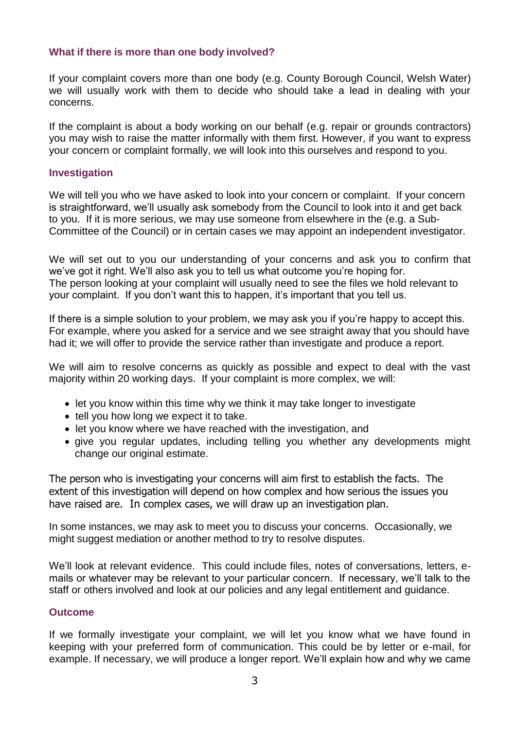## **What if there is more than one body involved?**

If your complaint covers more than one body (e.g. County Borough Council, Welsh Water) we will usually work with them to decide who should take a lead in dealing with your concerns.

If the complaint is about a body working on our behalf (e.g. repair or grounds contractors) you may wish to raise the matter informally with them first. However, if you want to express your concern or complaint formally, we will look into this ourselves and respond to you.

#### **Investigation**

We will tell you who we have asked to look into your concern or complaint. If your concern is straightforward, we'll usually ask somebody from the Council to look into it and get back to you. If it is more serious, we may use someone from elsewhere in the (e.g. a Sub-Committee of the Council) or in certain cases we may appoint an independent investigator.

We will set out to you our understanding of your concerns and ask you to confirm that we've got it right. We'll also ask you to tell us what outcome you're hoping for. The person looking at your complaint will usually need to see the files we hold relevant to your complaint. If you don't want this to happen, it's important that you tell us.

If there is a simple solution to your problem, we may ask you if you're happy to accept this. For example, where you asked for a service and we see straight away that you should have had it; we will offer to provide the service rather than investigate and produce a report.

We will aim to resolve concerns as quickly as possible and expect to deal with the vast majority within 20 working days. If your complaint is more complex, we will:

- let you know within this time why we think it may take longer to investigate
- tell you how long we expect it to take.
- let you know where we have reached with the investigation, and
- give you regular updates, including telling you whether any developments might change our original estimate.

The person who is investigating your concerns will aim first to establish the facts. The extent of this investigation will depend on how complex and how serious the issues you have raised are. In complex cases, we will draw up an investigation plan.

In some instances, we may ask to meet you to discuss your concerns. Occasionally, we might suggest mediation or another method to try to resolve disputes.

We'll look at relevant evidence. This could include files, notes of conversations, letters, emails or whatever may be relevant to your particular concern. If necessary, we'll talk to the staff or others involved and look at our policies and any legal entitlement and guidance.

#### **Outcome**

If we formally investigate your complaint, we will let you know what we have found in keeping with your preferred form of communication. This could be by letter or e-mail, for example. If necessary, we will produce a longer report. We'll explain how and why we came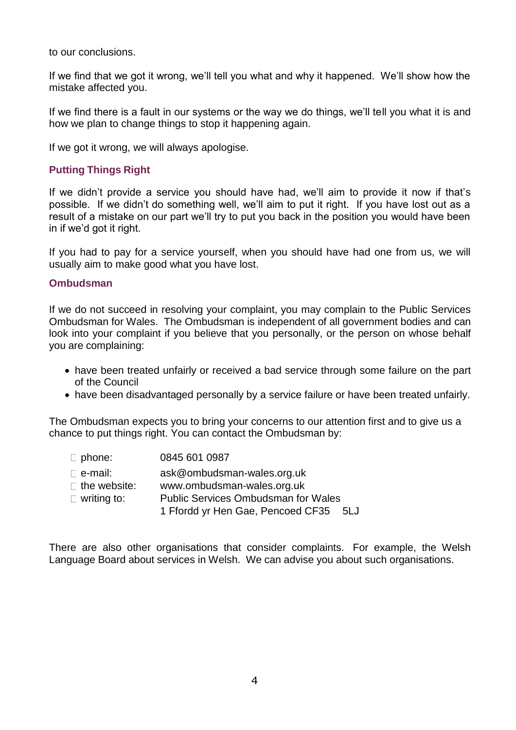to our conclusions.

If we find that we got it wrong, we'll tell you what and why it happened. We'll show how the mistake affected you.

If we find there is a fault in our systems or the way we do things, we'll tell you what it is and how we plan to change things to stop it happening again.

If we got it wrong, we will always apologise.

## **Putting Things Right**

If we didn't provide a service you should have had, we'll aim to provide it now if that's possible. If we didn't do something well, we'll aim to put it right. If you have lost out as a result of a mistake on our part we'll try to put you back in the position you would have been in if we'd got it right.

If you had to pay for a service yourself, when you should have had one from us, we will usually aim to make good what you have lost.

#### **Ombudsman**

If we do not succeed in resolving your complaint, you may complain to the Public Services Ombudsman for Wales. The Ombudsman is independent of all government bodies and can look into your complaint if you believe that you personally, or the person on whose behalf you are complaining:

- have been treated unfairly or received a bad service through some failure on the part of the Council
- have been disadvantaged personally by a service failure or have been treated unfairly.

The Ombudsman expects you to bring your concerns to our attention first and to give us a chance to put things right. You can contact the Ombudsman by:

| $\Box$ phone:       | 0845 601 0987                              |
|---------------------|--------------------------------------------|
| $\sqsubset$ e-mail: | ask@ombudsman-wales.org.uk                 |
| $\Box$ the website: | www.ombudsman-wales.org.uk                 |
| $\Box$ writing to:  | <b>Public Services Ombudsman for Wales</b> |

1 Ffordd yr Hen Gae, Pencoed CF35 5LJ

There are also other organisations that consider complaints. For example, the Welsh Language Board about services in Welsh. We can advise you about such organisations.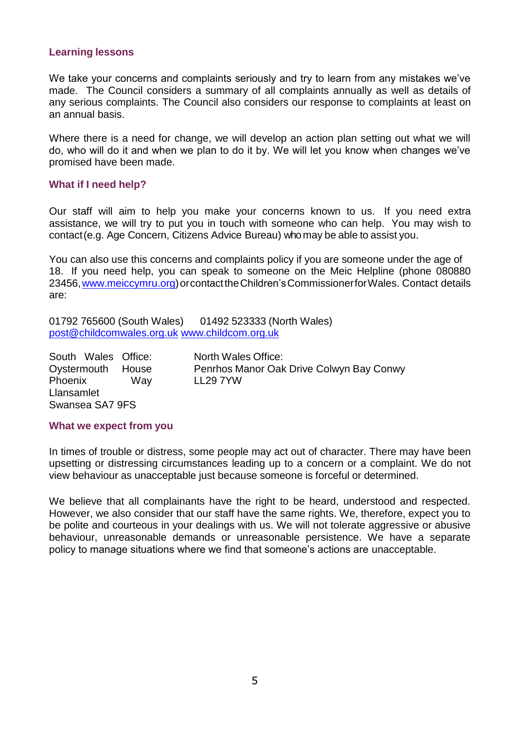#### **Learning lessons**

We take your concerns and complaints seriously and try to learn from any mistakes we've made. The Council considers a summary of all complaints annually as well as details of any serious complaints. The Council also considers our response to complaints at least on an annual basis.

Where there is a need for change, we will develop an action plan setting out what we will do, who will do it and when we plan to do it by. We will let you know when changes we've promised have been made.

#### **What if I need help?**

Our staff will aim to help you make your concerns known to us. If you need extra assistance, we will try to put you in touch with someone who can help. You may wish to contact(e.g. Age Concern, Citizens Advice Bureau) whomay be able to assist you.

You can also use this concerns and complaints policy if you are someone under the age of 18. If you need help, you can speak to someone on the Meic Helpline (phone 080880 23456, www.meiccymru.org) or contact the Children's Commissioner for Wales. Contact details are:

01792 765600 (South Wales) 01492 523333 (North Wales) [post@childcomwales.org.uk](mailto:post@childcomwales.org.uk) [www.childcom.org.uk](http://www.childcom.org.uk/)

South Wales Office: Oystermouth House Phoenix Way Llansamlet Swansea SA7 9FS

North Wales Office: Penrhos Manor Oak Drive Colwyn Bay Conwy LL29 7YW

#### **What we expect from you**

In times of trouble or distress, some people may act out of character. There may have been upsetting or distressing circumstances leading up to a concern or a complaint. We do not view behaviour as unacceptable just because someone is forceful or determined.

We believe that all complainants have the right to be heard, understood and respected. However, we also consider that our staff have the same rights. We, therefore, expect you to be polite and courteous in your dealings with us. We will not tolerate aggressive or abusive behaviour, unreasonable demands or unreasonable persistence. We have a separate policy to manage situations where we find that someone's actions are unacceptable.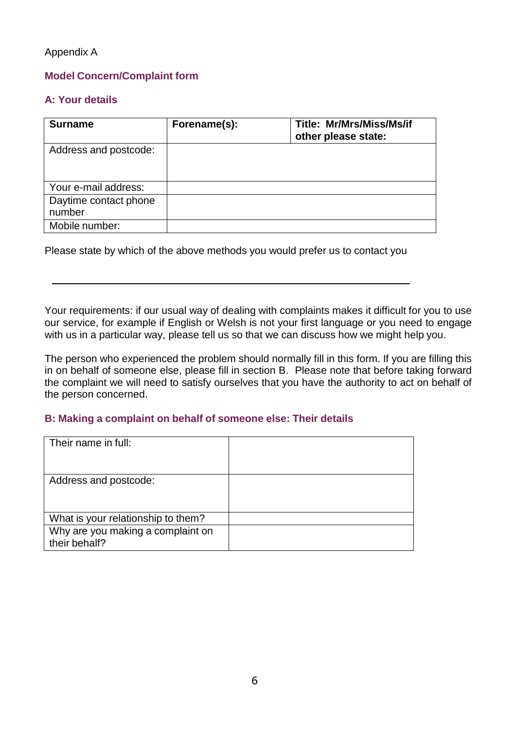## Appendix A

## **Model Concern/Complaint form**

## **A: Your details**

| <b>Surname</b>                  | Forename(s): | <b>Title: Mr/Mrs/Miss/Ms/if</b><br>other please state: |
|---------------------------------|--------------|--------------------------------------------------------|
| Address and postcode:           |              |                                                        |
| Your e-mail address:            |              |                                                        |
| Daytime contact phone<br>number |              |                                                        |
| Mobile number:                  |              |                                                        |

Please state by which of the above methods you would prefer us to contact you

Your requirements: if our usual way of dealing with complaints makes it difficult for you to use our service, for example if English or Welsh is not your first language or you need to engage with us in a particular way, please tell us so that we can discuss how we might help you.

The person who experienced the problem should normally fill in this form. If you are filling this in on behalf of someone else, please fill in section B. Please note that before taking forward the complaint we will need to satisfy ourselves that you have the authority to act on behalf of the person concerned.

### **B: Making a complaint on behalf of someone else: Their details**

| Their name in full:                                |  |
|----------------------------------------------------|--|
| Address and postcode:                              |  |
| What is your relationship to them?                 |  |
| Why are you making a complaint on<br>their behalf? |  |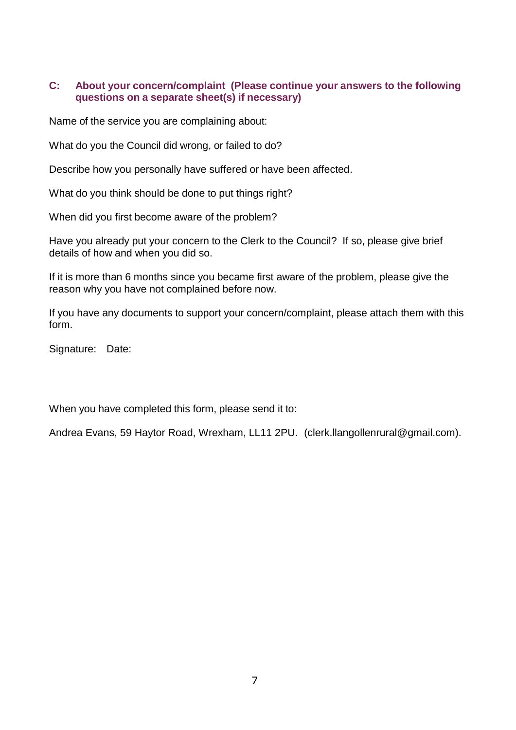## **C: About your concern/complaint (Please continue your answers to the following questions on a separate sheet(s) if necessary)**

Name of the service you are complaining about:

What do you the Council did wrong, or failed to do?

Describe how you personally have suffered or have been affected.

What do you think should be done to put things right?

When did you first become aware of the problem?

Have you already put your concern to the Clerk to the Council? If so, please give brief details of how and when you did so.

If it is more than 6 months since you became first aware of the problem, please give the reason why you have not complained before now.

If you have any documents to support your concern/complaint, please attach them with this form.

Signature: Date:

When you have completed this form, please send it to:

Andrea Evans, 59 Haytor Road, Wrexham, LL11 2PU. (clerk.llangollenrural@gmail.com).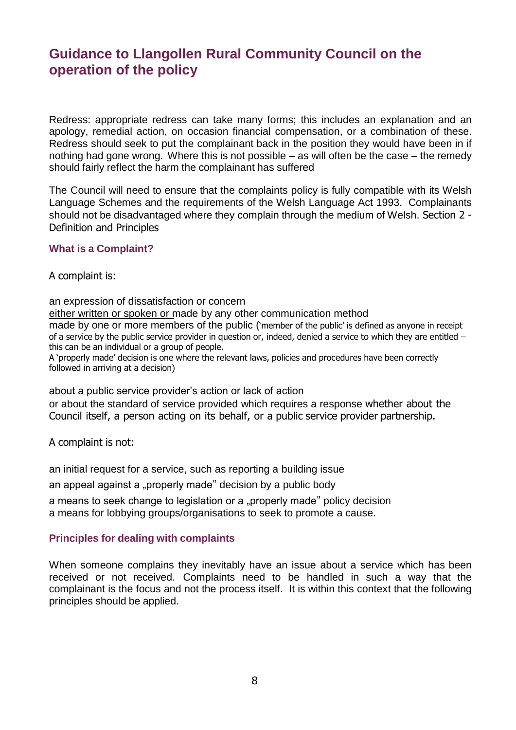# **Guidance to Llangollen Rural Community Council on the operation of the policy**

Redress: appropriate redress can take many forms; this includes an explanation and an apology, remedial action, on occasion financial compensation, or a combination of these. Redress should seek to put the complainant back in the position they would have been in if nothing had gone wrong. Where this is not possible – as will often be the case – the remedy should fairly reflect the harm the complainant has suffered

The Council will need to ensure that the complaints policy is fully compatible with its Welsh Language Schemes and the requirements of the Welsh Language Act 1993. Complainants should not be disadvantaged where they complain through the medium of Welsh. Section 2 - Definition and Principles

### **What is a Complaint?**

#### A complaint is:

an expression of dissatisfaction or concern either written or spoken or made by any other communication method made by one or more members of the public ('member of the public' is defined as anyone in receipt of a service by the public service provider in question or, indeed, denied a service to which they are entitled – this can be an individual or a group of people. A 'properly made' decision is one where the relevant laws, policies and procedures have been correctly

followed in arriving at a decision)

about a public service provider's action or lack of action

or about the standard of service provided which requires a response whether about the Council itself, a person acting on its behalf, or a public service provider partnership.

A complaint is not:

an initial request for a service, such as reporting a building issue

an appeal against a "properly made" decision by a public body

a means to seek change to legislation or a "properly made" policy decision a means for lobbying groups/organisations to seek to promote a cause.

### **Principles for dealing with complaints**

When someone complains they inevitably have an issue about a service which has been received or not received. Complaints need to be handled in such a way that the complainant is the focus and not the process itself. It is within this context that the following principles should be applied.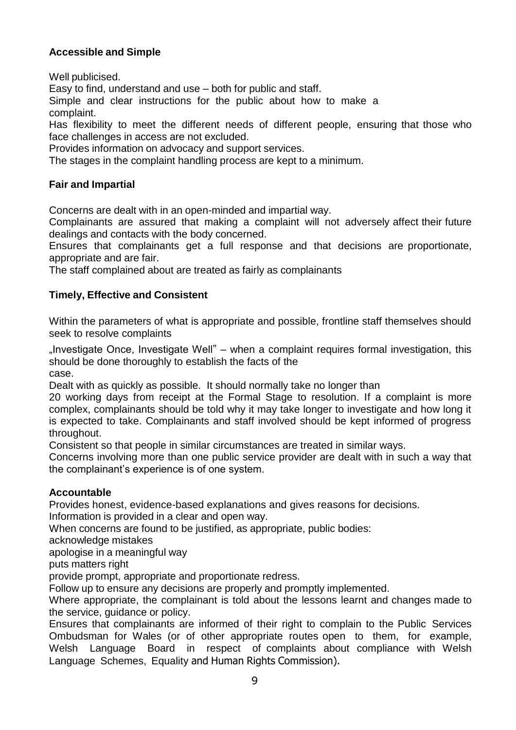# **Accessible and Simple**

Well publicised.

Easy to find, understand and use – both for public and staff.

Simple and clear instructions for the public about how to make a complaint.

Has flexibility to meet the different needs of different people, ensuring that those who face challenges in access are not excluded.

Provides information on advocacy and support services.

The stages in the complaint handling process are kept to a minimum.

## **Fair and Impartial**

Concerns are dealt with in an open-minded and impartial way.

Complainants are assured that making a complaint will not adversely affect their future dealings and contacts with the body concerned.

Ensures that complainants get a full response and that decisions are proportionate, appropriate and are fair.

The staff complained about are treated as fairly as complainants

# **Timely, Effective and Consistent**

Within the parameters of what is appropriate and possible, frontline staff themselves should seek to resolve complaints

 $n$  Investigate Once, Investigate Well" – when a complaint requires formal investigation, this should be done thoroughly to establish the facts of the case.

Dealt with as quickly as possible. It should normally take no longer than

20 working days from receipt at the Formal Stage to resolution. If a complaint is more complex, complainants should be told why it may take longer to investigate and how long it is expected to take. Complainants and staff involved should be kept informed of progress throughout.

Consistent so that people in similar circumstances are treated in similar ways.

Concerns involving more than one public service provider are dealt with in such a way that the complainant's experience is of one system.

### **Accountable**

Provides honest, evidence-based explanations and gives reasons for decisions.

Information is provided in a clear and open way.

When concerns are found to be justified, as appropriate, public bodies:

acknowledge mistakes

apologise in a meaningful way

puts matters right

provide prompt, appropriate and proportionate redress.

Follow up to ensure any decisions are properly and promptly implemented.

Where appropriate, the complainant is told about the lessons learnt and changes made to the service, guidance or policy.

Ensures that complainants are informed of their right to complain to the Public Services Ombudsman for Wales (or of other appropriate routes open to them, for example, Welsh Language Board in respect of complaints about compliance with Welsh Language Schemes, Equality and Human Rights Commission).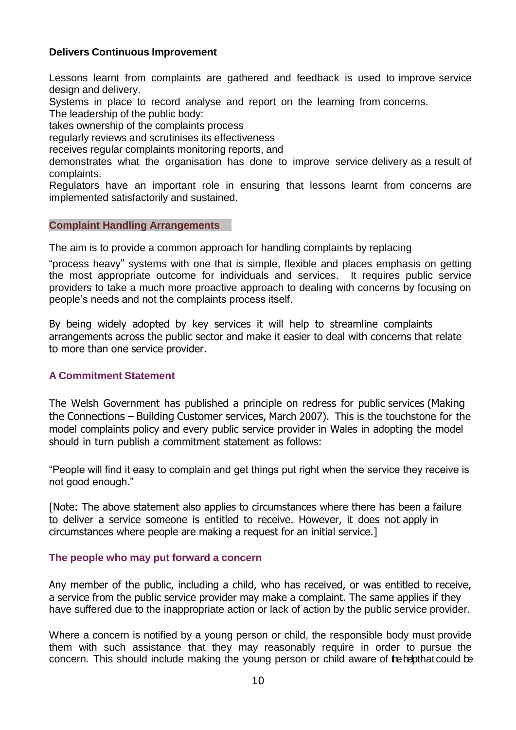## **Delivers Continuous Improvement**

Lessons learnt from complaints are gathered and feedback is used to improve service design and delivery.

Systems in place to record analyse and report on the learning from concerns.

The leadership of the public body:

takes ownership of the complaints process

regularly reviews and scrutinises its effectiveness

receives regular complaints monitoring reports, and

demonstrates what the organisation has done to improve service delivery as a result of complaints.

Regulators have an important role in ensuring that lessons learnt from concerns are implemented satisfactorily and sustained.

### **Complaint Handling Arrangements**

The aim is to provide a common approach for handling complaints by replacing

"process heavy" systems with one that is simple, flexible and places emphasis on getting the most appropriate outcome for individuals and services. It requires public service providers to take a much more proactive approach to dealing with concerns by focusing on people's needs and not the complaints process itself.

By being widely adopted by key services it will help to streamline complaints arrangements across the public sector and make it easier to deal with concerns that relate to more than one service provider.

# **A Commitment Statement**

The Welsh Government has published a principle on redress for public services (Making the Connections – Building Customer services, March 2007). This is the touchstone for the model complaints policy and every public service provider in Wales in adopting the model should in turn publish a commitment statement as follows:

"People will find it easy to complain and get things put right when the service they receive is not good enough."

[Note: The above statement also applies to circumstances where there has been a failure to deliver a service someone is entitled to receive. However, it does not apply in circumstances where people are making a request for an initial service.]

### **The people who may put forward a concern**

Any member of the public, including a child, who has received, or was entitled to receive, a service from the public service provider may make a complaint. The same applies if they have suffered due to the inappropriate action or lack of action by the public service provider.

Where a concern is notified by a young person or child, the responsible body must provide them with such assistance that they may reasonably require in order to pursue the concern. This should include making the young person or child aware of the hepthat could be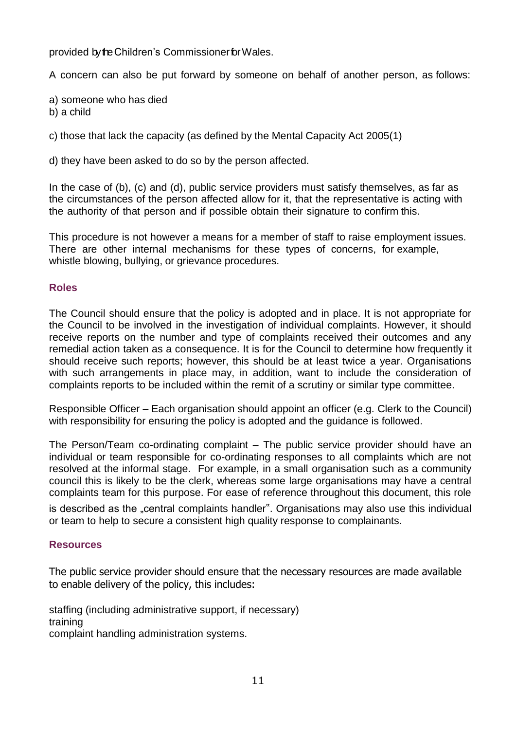provided by the Children's Commissioner for Wales.

A concern can also be put forward by someone on behalf of another person, as follows:

a) someone who has died

b) a child

c) those that lack the capacity (as defined by the Mental Capacity Act 2005(1)

d) they have been asked to do so by the person affected.

In the case of (b), (c) and (d), public service providers must satisfy themselves, as far as the circumstances of the person affected allow for it, that the representative is acting with the authority of that person and if possible obtain their signature to confirm this.

This procedure is not however a means for a member of staff to raise employment issues. There are other internal mechanisms for these types of concerns, for example, whistle blowing, bullying, or grievance procedures.

# **Roles**

The Council should ensure that the policy is adopted and in place. It is not appropriate for the Council to be involved in the investigation of individual complaints. However, it should receive reports on the number and type of complaints received their outcomes and any remedial action taken as a consequence. It is for the Council to determine how frequently it should receive such reports; however, this should be at least twice a year. Organisations with such arrangements in place may, in addition, want to include the consideration of complaints reports to be included within the remit of a scrutiny or similar type committee.

Responsible Officer – Each organisation should appoint an officer (e.g. Clerk to the Council) with responsibility for ensuring the policy is adopted and the guidance is followed.

The Person/Team co-ordinating complaint – The public service provider should have an individual or team responsible for co-ordinating responses to all complaints which are not resolved at the informal stage. For example, in a small organisation such as a community council this is likely to be the clerk, whereas some large organisations may have a central complaints team for this purpose. For ease of reference throughout this document, this role

is described as the "central complaints handler". Organisations may also use this individual or team to help to secure a consistent high quality response to complainants.

# **Resources**

The public service provider should ensure that the necessary resources are made available to enable delivery of the policy, this includes:

staffing (including administrative support, if necessary) training complaint handling administration systems.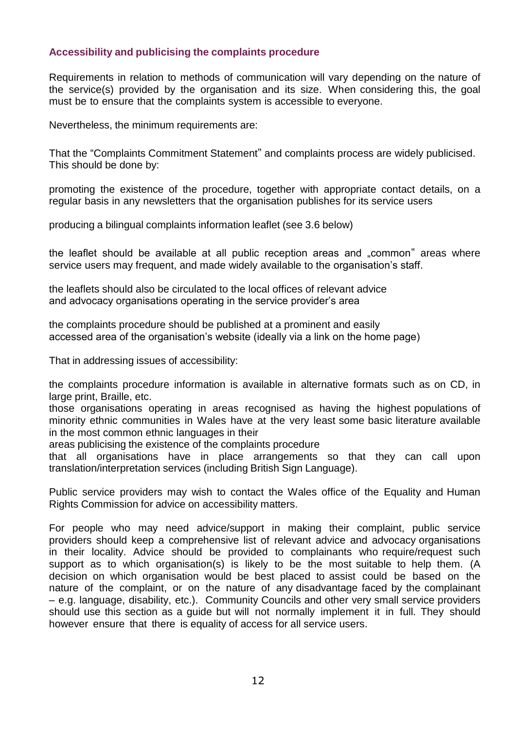## **Accessibility and publicising the complaints procedure**

Requirements in relation to methods of communication will vary depending on the nature of the service(s) provided by the organisation and its size. When considering this, the goal must be to ensure that the complaints system is accessible to everyone.

Nevertheless, the minimum requirements are:

That the "Complaints Commitment Statement" and complaints process are widely publicised. This should be done by:

promoting the existence of the procedure, together with appropriate contact details, on a regular basis in any newsletters that the organisation publishes for its service users

producing a bilingual complaints information leaflet (see 3.6 below)

the leaflet should be available at all public reception areas and "common" areas where service users may frequent, and made widely available to the organisation's staff.

the leaflets should also be circulated to the local offices of relevant advice and advocacy organisations operating in the service provider's area

the complaints procedure should be published at a prominent and easily accessed area of the organisation's website (ideally via a link on the home page)

That in addressing issues of accessibility:

the complaints procedure information is available in alternative formats such as on CD, in large print, Braille, etc.

those organisations operating in areas recognised as having the highest populations of minority ethnic communities in Wales have at the very least some basic literature available in the most common ethnic languages in their

areas publicising the existence of the complaints procedure

that all organisations have in place arrangements so that they can call upon translation/interpretation services (including British Sign Language).

Public service providers may wish to contact the Wales office of the Equality and Human Rights Commission for advice on accessibility matters.

For people who may need advice/support in making their complaint, public service providers should keep a comprehensive list of relevant advice and advocacy organisations in their locality. Advice should be provided to complainants who require/request such support as to which organisation(s) is likely to be the most suitable to help them. (A decision on which organisation would be best placed to assist could be based on the nature of the complaint, or on the nature of any disadvantage faced by the complainant – e.g. language, disability, etc.). Community Councils and other very small service providers should use this section as a guide but will not normally implement it in full. They should however ensure that there is equality of access for all service users.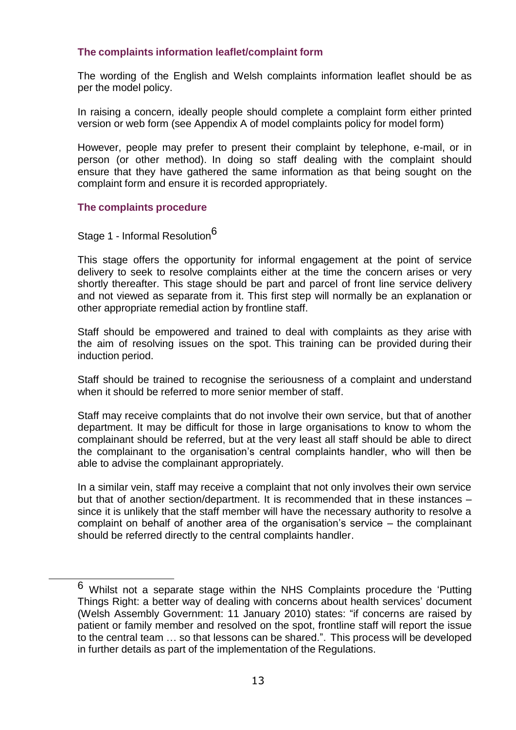## **The complaints information leaflet/complaint form**

The wording of the English and Welsh complaints information leaflet should be as per the model policy.

In raising a concern, ideally people should complete a complaint form either printed version or web form (see Appendix A of model complaints policy for model form)

However, people may prefer to present their complaint by telephone, e-mail, or in person (or other method). In doing so staff dealing with the complaint should ensure that they have gathered the same information as that being sought on the complaint form and ensure it is recorded appropriately.

### **The complaints procedure**

# Stage 1 - Informal Resolution<sup>6</sup>

This stage offers the opportunity for informal engagement at the point of service delivery to seek to resolve complaints either at the time the concern arises or very shortly thereafter. This stage should be part and parcel of front line service delivery and not viewed as separate from it. This first step will normally be an explanation or other appropriate remedial action by frontline staff.

Staff should be empowered and trained to deal with complaints as they arise with the aim of resolving issues on the spot. This training can be provided during their induction period.

Staff should be trained to recognise the seriousness of a complaint and understand when it should be referred to more senior member of staff.

Staff may receive complaints that do not involve their own service, but that of another department. It may be difficult for those in large organisations to know to whom the complainant should be referred, but at the very least all staff should be able to direct the complainant to the organisation's central complaints handler, who will then be able to advise the complainant appropriately.

In a similar vein, staff may receive a complaint that not only involves their own service but that of another section/department. It is recommended that in these instances – since it is unlikely that the staff member will have the necessary authority to resolve a complaint on behalf of another area of the organisation's service – the complainant should be referred directly to the central complaints handler.

<sup>6</sup> Whilst not a separate stage within the NHS Complaints procedure the 'Putting Things Right: a better way of dealing with concerns about health services' document (Welsh Assembly Government: 11 January 2010) states: "if concerns are raised by patient or family member and resolved on the spot, frontline staff will report the issue to the central team … so that lessons can be shared.". This process will be developed in further details as part of the implementation of the Regulations.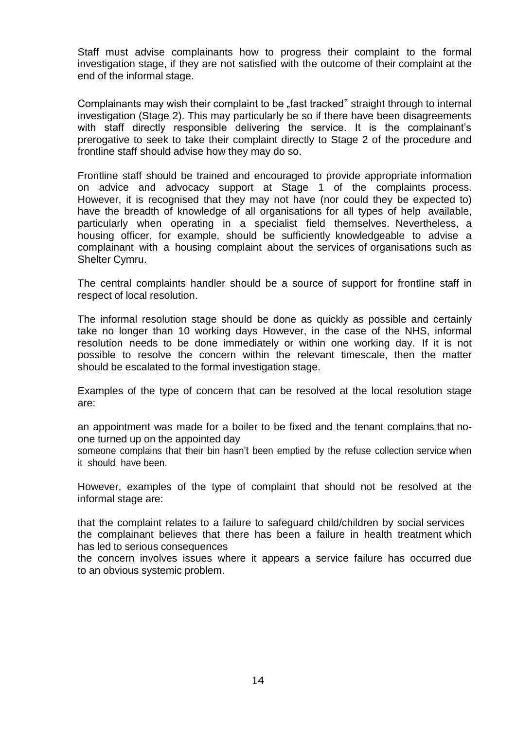Staff must advise complainants how to progress their complaint to the formal investigation stage, if they are not satisfied with the outcome of their complaint at the end of the informal stage.

Complainants may wish their complaint to be "fast tracked" straight through to internal investigation (Stage 2). This may particularly be so if there have been disagreements with staff directly responsible delivering the service. It is the complainant's prerogative to seek to take their complaint directly to Stage 2 of the procedure and frontline staff should advise how they may do so.

Frontline staff should be trained and encouraged to provide appropriate information on advice and advocacy support at Stage 1 of the complaints process. However, it is recognised that they may not have (nor could they be expected to) have the breadth of knowledge of all organisations for all types of help available, particularly when operating in a specialist field themselves. Nevertheless, a housing officer, for example, should be sufficiently knowledgeable to advise a complainant with a housing complaint about the services of organisations such as Shelter Cymru.

The central complaints handler should be a source of support for frontline staff in respect of local resolution.

The informal resolution stage should be done as quickly as possible and certainly take no longer than 10 working days However, in the case of the NHS, informal resolution needs to be done immediately or within one working day. If it is not possible to resolve the concern within the relevant timescale, then the matter should be escalated to the formal investigation stage.

Examples of the type of concern that can be resolved at the local resolution stage are:

an appointment was made for a boiler to be fixed and the tenant complains that noone turned up on the appointed day

someone complains that their bin hasn't been emptied by the refuse collection service when it should have been.

However, examples of the type of complaint that should not be resolved at the informal stage are:

that the complaint relates to a failure to safeguard child/children by social services the complainant believes that there has been a failure in health treatment which has led to serious consequences

the concern involves issues where it appears a service failure has occurred due to an obvious systemic problem.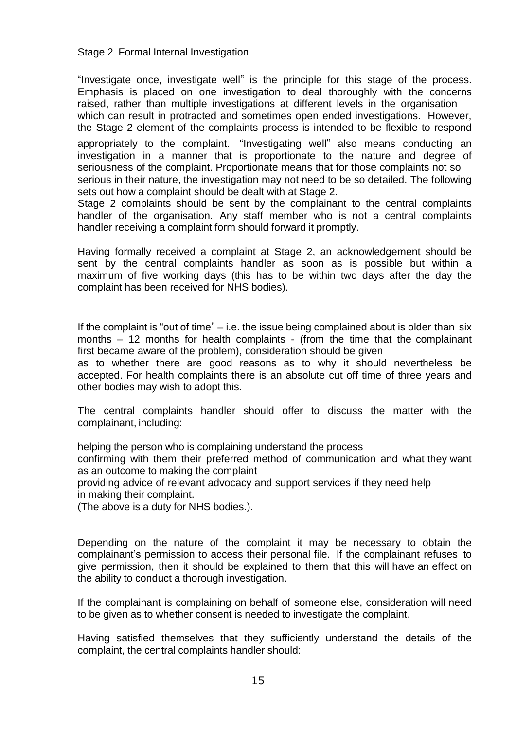#### Stage 2 Formal Internal Investigation

"Investigate once, investigate well" is the principle for this stage of the process. Emphasis is placed on one investigation to deal thoroughly with the concerns raised, rather than multiple investigations at different levels in the organisation which can result in protracted and sometimes open ended investigations. However, the Stage 2 element of the complaints process is intended to be flexible to respond

appropriately to the complaint. "Investigating well" also means conducting an investigation in a manner that is proportionate to the nature and degree of seriousness of the complaint. Proportionate means that for those complaints not so serious in their nature, the investigation may not need to be so detailed. The following

sets out how a complaint should be dealt with at Stage 2.

Stage 2 complaints should be sent by the complainant to the central complaints handler of the organisation. Any staff member who is not a central complaints handler receiving a complaint form should forward it promptly.

Having formally received a complaint at Stage 2, an acknowledgement should be sent by the central complaints handler as soon as is possible but within a maximum of five working days (this has to be within two days after the day the complaint has been received for NHS bodies).

If the complaint is "out of time" – i.e. the issue being complained about is older than six months – 12 months for health complaints - (from the time that the complainant first became aware of the problem), consideration should be given

as to whether there are good reasons as to why it should nevertheless be accepted. For health complaints there is an absolute cut off time of three years and other bodies may wish to adopt this.

The central complaints handler should offer to discuss the matter with the complainant, including:

helping the person who is complaining understand the process

confirming with them their preferred method of communication and what they want as an outcome to making the complaint

providing advice of relevant advocacy and support services if they need help in making their complaint.

(The above is a duty for NHS bodies.).

Depending on the nature of the complaint it may be necessary to obtain the complainant's permission to access their personal file. If the complainant refuses to give permission, then it should be explained to them that this will have an effect on the ability to conduct a thorough investigation.

If the complainant is complaining on behalf of someone else, consideration will need to be given as to whether consent is needed to investigate the complaint.

Having satisfied themselves that they sufficiently understand the details of the complaint, the central complaints handler should: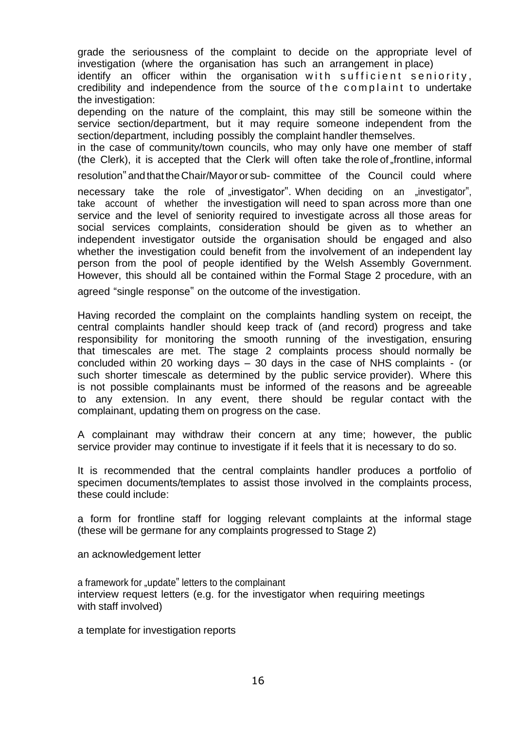grade the seriousness of the complaint to decide on the appropriate level of investigation (where the organisation has such an arrangement in place)

identify an officer within the organisation with sufficient seniority, credibility and independence from the source of the complaint to undertake the investigation:

depending on the nature of the complaint, this may still be someone within the service section/department, but it may require someone independent from the section/department, including possibly the complaint handler themselves.

in the case of community/town councils, who may only have one member of staff (the Clerk), it is accepted that the Clerk will often take the role of frontline, informal

resolution"and that theChair/Mayoror sub- committee of the Council could where

necessary take the role of investigator". When deciding on an investigator", take account of whether the investigation will need to span across more than one service and the level of seniority required to investigate across all those areas for social services complaints, consideration should be given as to whether an independent investigator outside the organisation should be engaged and also whether the investigation could benefit from the involvement of an independent lay person from the pool of people identified by the Welsh Assembly Government. However, this should all be contained within the Formal Stage 2 procedure, with an

agreed "single response" on the outcome of the investigation.

Having recorded the complaint on the complaints handling system on receipt, the central complaints handler should keep track of (and record) progress and take responsibility for monitoring the smooth running of the investigation, ensuring that timescales are met. The stage 2 complaints process should normally be concluded within 20 working days – 30 days in the case of NHS complaints - (or such shorter timescale as determined by the public service provider). Where this is not possible complainants must be informed of the reasons and be agreeable to any extension. In any event, there should be regular contact with the complainant, updating them on progress on the case.

A complainant may withdraw their concern at any time; however, the public service provider may continue to investigate if it feels that it is necessary to do so.

It is recommended that the central complaints handler produces a portfolio of specimen documents/templates to assist those involved in the complaints process, these could include:

a form for frontline staff for logging relevant complaints at the informal stage (these will be germane for any complaints progressed to Stage 2)

an acknowledgement letter

a framework for "update" letters to the complainant interview request letters (e.g. for the investigator when requiring meetings with staff involved)

a template for investigation reports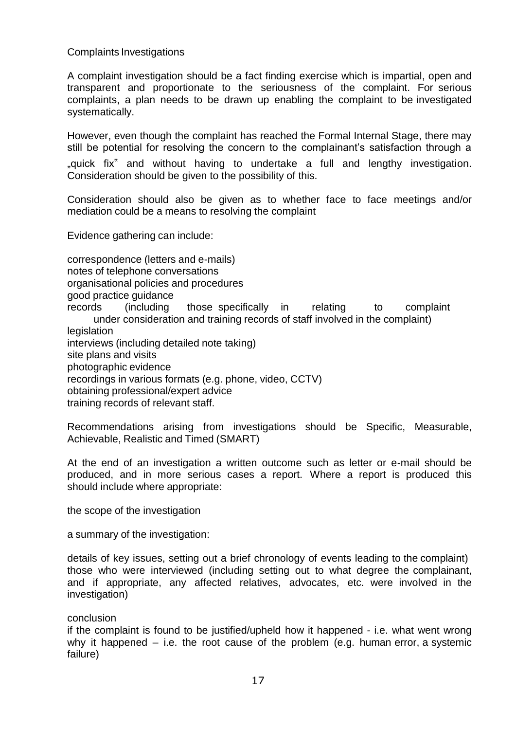Complaints Investigations

A complaint investigation should be a fact finding exercise which is impartial, open and transparent and proportionate to the seriousness of the complaint. For serious complaints, a plan needs to be drawn up enabling the complaint to be investigated systematically.

However, even though the complaint has reached the Formal Internal Stage, there may still be potential for resolving the concern to the complainant's satisfaction through a "quick fix" and without having to undertake a full and lengthy investigation. Consideration should be given to the possibility of this.

Consideration should also be given as to whether face to face meetings and/or mediation could be a means to resolving the complaint

Evidence gathering can include:

correspondence (letters and e-mails)

notes of telephone conversations

organisational policies and procedures

good practice guidance

records (including those specifically in relating to complaint under consideration and training records of staff involved in the complaint) **legislation** 

interviews (including detailed note taking)

site plans and visits

photographic evidence

recordings in various formats (e.g. phone, video, CCTV)

obtaining professional/expert advice

training records of relevant staff.

Recommendations arising from investigations should be Specific, Measurable, Achievable, Realistic and Timed (SMART)

At the end of an investigation a written outcome such as letter or e-mail should be produced, and in more serious cases a report. Where a report is produced this should include where appropriate:

the scope of the investigation

a summary of the investigation:

details of key issues, setting out a brief chronology of events leading to the complaint) those who were interviewed (including setting out to what degree the complainant, and if appropriate, any affected relatives, advocates, etc. were involved in the investigation)

### conclusion

if the complaint is found to be justified/upheld how it happened - i.e. what went wrong why it happened  $-$  i.e. the root cause of the problem (e.g. human error, a systemic failure)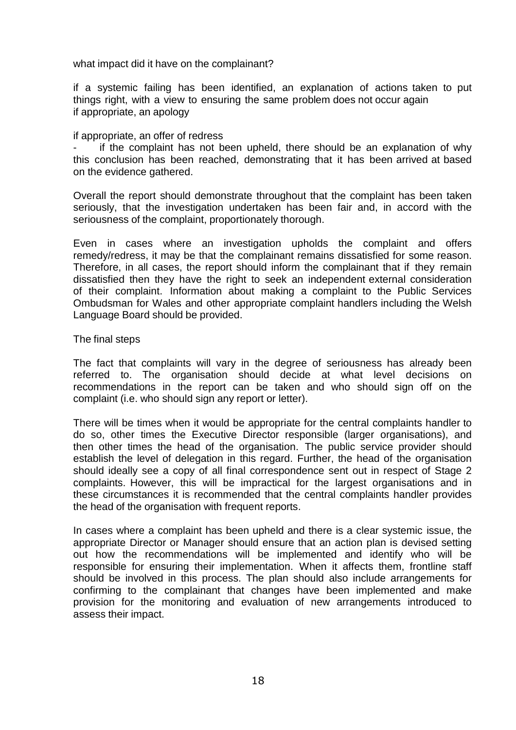what impact did it have on the complainant?

if a systemic failing has been identified, an explanation of actions taken to put things right, with a view to ensuring the same problem does not occur again if appropriate, an apology

#### if appropriate, an offer of redress

if the complaint has not been upheld, there should be an explanation of why this conclusion has been reached, demonstrating that it has been arrived at based on the evidence gathered.

Overall the report should demonstrate throughout that the complaint has been taken seriously, that the investigation undertaken has been fair and, in accord with the seriousness of the complaint, proportionately thorough.

Even in cases where an investigation upholds the complaint and offers remedy/redress, it may be that the complainant remains dissatisfied for some reason. Therefore, in all cases, the report should inform the complainant that if they remain dissatisfied then they have the right to seek an independent external consideration of their complaint. Information about making a complaint to the Public Services Ombudsman for Wales and other appropriate complaint handlers including the Welsh Language Board should be provided.

#### The final steps

The fact that complaints will vary in the degree of seriousness has already been referred to. The organisation should decide at what level decisions on recommendations in the report can be taken and who should sign off on the complaint (i.e. who should sign any report or letter).

There will be times when it would be appropriate for the central complaints handler to do so, other times the Executive Director responsible (larger organisations), and then other times the head of the organisation. The public service provider should establish the level of delegation in this regard. Further, the head of the organisation should ideally see a copy of all final correspondence sent out in respect of Stage 2 complaints. However, this will be impractical for the largest organisations and in these circumstances it is recommended that the central complaints handler provides the head of the organisation with frequent reports.

In cases where a complaint has been upheld and there is a clear systemic issue, the appropriate Director or Manager should ensure that an action plan is devised setting out how the recommendations will be implemented and identify who will be responsible for ensuring their implementation. When it affects them, frontline staff should be involved in this process. The plan should also include arrangements for confirming to the complainant that changes have been implemented and make provision for the monitoring and evaluation of new arrangements introduced to assess their impact.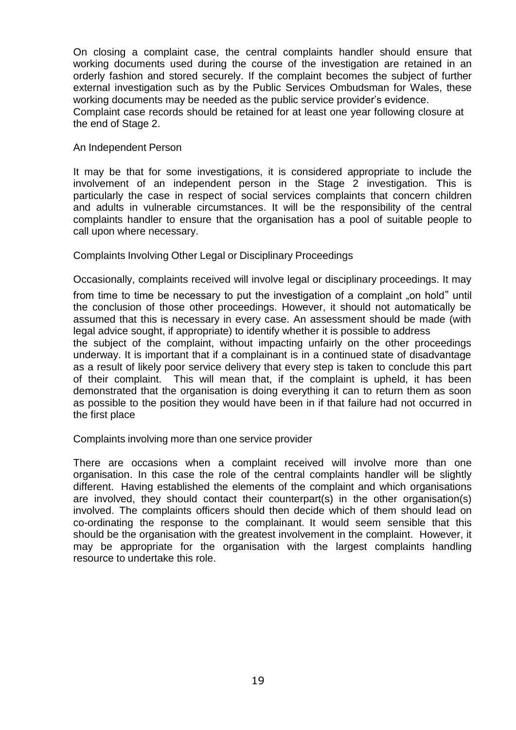On closing a complaint case, the central complaints handler should ensure that working documents used during the course of the investigation are retained in an orderly fashion and stored securely. If the complaint becomes the subject of further external investigation such as by the Public Services Ombudsman for Wales, these working documents may be needed as the public service provider's evidence. Complaint case records should be retained for at least one year following closure at

the end of Stage 2.

#### An Independent Person

It may be that for some investigations, it is considered appropriate to include the involvement of an independent person in the Stage 2 investigation. This is particularly the case in respect of social services complaints that concern children and adults in vulnerable circumstances. It will be the responsibility of the central complaints handler to ensure that the organisation has a pool of suitable people to call upon where necessary.

Complaints Involving Other Legal or Disciplinary Proceedings

Occasionally, complaints received will involve legal or disciplinary proceedings. It may

from time to time be necessary to put the investigation of a complaint "on hold" until the conclusion of those other proceedings. However, it should not automatically be assumed that this is necessary in every case. An assessment should be made (with legal advice sought, if appropriate) to identify whether it is possible to address

the subject of the complaint, without impacting unfairly on the other proceedings underway. It is important that if a complainant is in a continued state of disadvantage as a result of likely poor service delivery that every step is taken to conclude this part of their complaint. This will mean that, if the complaint is upheld, it has been demonstrated that the organisation is doing everything it can to return them as soon as possible to the position they would have been in if that failure had not occurred in the first place

Complaints involving more than one service provider

There are occasions when a complaint received will involve more than one organisation. In this case the role of the central complaints handler will be slightly different. Having established the elements of the complaint and which organisations are involved, they should contact their counterpart(s) in the other organisation(s) involved. The complaints officers should then decide which of them should lead on co-ordinating the response to the complainant. It would seem sensible that this should be the organisation with the greatest involvement in the complaint. However, it may be appropriate for the organisation with the largest complaints handling resource to undertake this role.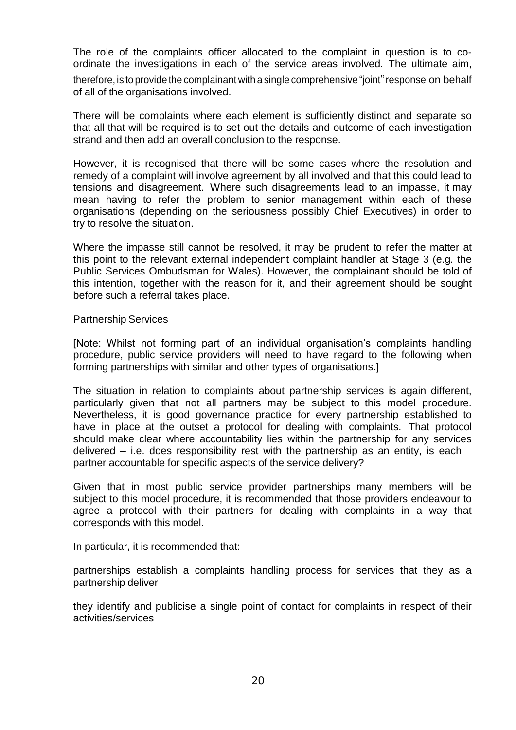The role of the complaints officer allocated to the complaint in question is to coordinate the investigations in each of the service areas involved. The ultimate aim,

therefore, is to provide the complainant with a single comprehensive "joint" response on behalf of all of the organisations involved.

There will be complaints where each element is sufficiently distinct and separate so that all that will be required is to set out the details and outcome of each investigation strand and then add an overall conclusion to the response.

However, it is recognised that there will be some cases where the resolution and remedy of a complaint will involve agreement by all involved and that this could lead to tensions and disagreement. Where such disagreements lead to an impasse, it may mean having to refer the problem to senior management within each of these organisations (depending on the seriousness possibly Chief Executives) in order to try to resolve the situation.

Where the impasse still cannot be resolved, it may be prudent to refer the matter at this point to the relevant external independent complaint handler at Stage 3 (e.g. the Public Services Ombudsman for Wales). However, the complainant should be told of this intention, together with the reason for it, and their agreement should be sought before such a referral takes place.

#### Partnership Services

[Note: Whilst not forming part of an individual organisation's complaints handling procedure, public service providers will need to have regard to the following when forming partnerships with similar and other types of organisations.]

The situation in relation to complaints about partnership services is again different, particularly given that not all partners may be subject to this model procedure. Nevertheless, it is good governance practice for every partnership established to have in place at the outset a protocol for dealing with complaints. That protocol should make clear where accountability lies within the partnership for any services delivered – i.e. does responsibility rest with the partnership as an entity, is each partner accountable for specific aspects of the service delivery?

Given that in most public service provider partnerships many members will be subject to this model procedure, it is recommended that those providers endeavour to agree a protocol with their partners for dealing with complaints in a way that corresponds with this model.

In particular, it is recommended that:

partnerships establish a complaints handling process for services that they as a partnership deliver

they identify and publicise a single point of contact for complaints in respect of their activities/services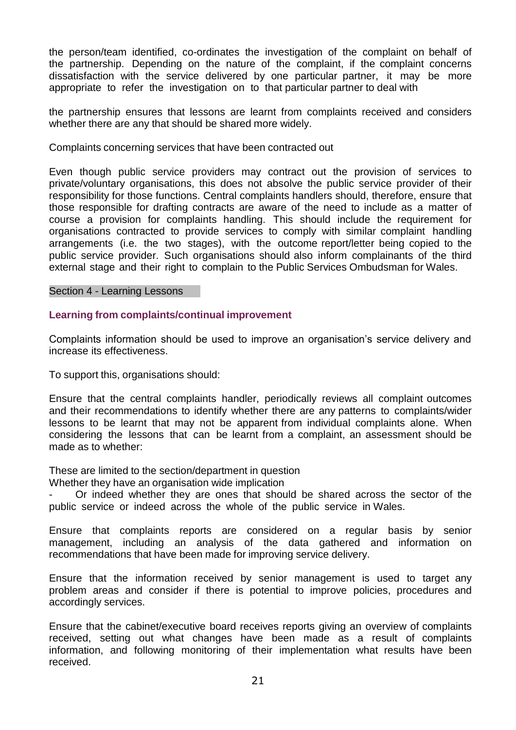the person/team identified, co-ordinates the investigation of the complaint on behalf of the partnership. Depending on the nature of the complaint, if the complaint concerns dissatisfaction with the service delivered by one particular partner, it may be more appropriate to refer the investigation on to that particular partner to deal with

the partnership ensures that lessons are learnt from complaints received and considers whether there are any that should be shared more widely.

Complaints concerning services that have been contracted out

Even though public service providers may contract out the provision of services to private/voluntary organisations, this does not absolve the public service provider of their responsibility for those functions. Central complaints handlers should, therefore, ensure that those responsible for drafting contracts are aware of the need to include as a matter of course a provision for complaints handling. This should include the requirement for organisations contracted to provide services to comply with similar complaint handling arrangements (i.e. the two stages), with the outcome report/letter being copied to the public service provider. Such organisations should also inform complainants of the third external stage and their right to complain to the Public Services Ombudsman for Wales.

#### Section 4 - Learning Lessons

### **Learning from complaints/continual improvement**

Complaints information should be used to improve an organisation's service delivery and increase its effectiveness.

To support this, organisations should:

Ensure that the central complaints handler, periodically reviews all complaint outcomes and their recommendations to identify whether there are any patterns to complaints/wider lessons to be learnt that may not be apparent from individual complaints alone. When considering the lessons that can be learnt from a complaint, an assessment should be made as to whether:

These are limited to the section/department in question

Whether they have an organisation wide implication

Or indeed whether they are ones that should be shared across the sector of the public service or indeed across the whole of the public service in Wales.

Ensure that complaints reports are considered on a regular basis by senior management, including an analysis of the data gathered and information on recommendations that have been made for improving service delivery.

Ensure that the information received by senior management is used to target any problem areas and consider if there is potential to improve policies, procedures and accordingly services.

Ensure that the cabinet/executive board receives reports giving an overview of complaints received, setting out what changes have been made as a result of complaints information, and following monitoring of their implementation what results have been received.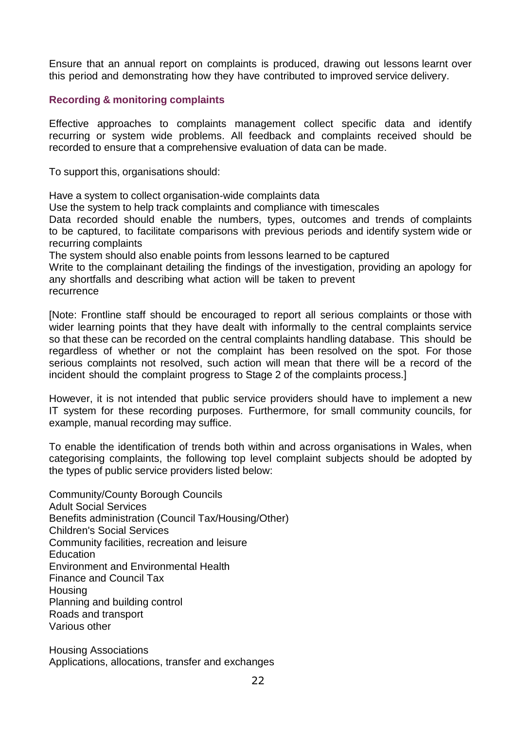Ensure that an annual report on complaints is produced, drawing out lessons learnt over this period and demonstrating how they have contributed to improved service delivery.

## **Recording & monitoring complaints**

Effective approaches to complaints management collect specific data and identify recurring or system wide problems. All feedback and complaints received should be recorded to ensure that a comprehensive evaluation of data can be made.

To support this, organisations should:

Have a system to collect organisation-wide complaints data

Use the system to help track complaints and compliance with timescales

Data recorded should enable the numbers, types, outcomes and trends of complaints to be captured, to facilitate comparisons with previous periods and identify system wide or recurring complaints

The system should also enable points from lessons learned to be captured

Write to the complainant detailing the findings of the investigation, providing an apology for any shortfalls and describing what action will be taken to prevent recurrence

[Note: Frontline staff should be encouraged to report all serious complaints or those with wider learning points that they have dealt with informally to the central complaints service so that these can be recorded on the central complaints handling database. This should be regardless of whether or not the complaint has been resolved on the spot. For those serious complaints not resolved, such action will mean that there will be a record of the incident should the complaint progress to Stage 2 of the complaints process.]

However, it is not intended that public service providers should have to implement a new IT system for these recording purposes. Furthermore, for small community councils, for example, manual recording may suffice.

To enable the identification of trends both within and across organisations in Wales, when categorising complaints, the following top level complaint subjects should be adopted by the types of public service providers listed below:

Community/County Borough Councils Adult Social Services Benefits administration (Council Tax/Housing/Other) Children's Social Services Community facilities, recreation and leisure **Education** Environment and Environmental Health Finance and Council Tax Housing Planning and building control Roads and transport Various other

Housing Associations Applications, allocations, transfer and exchanges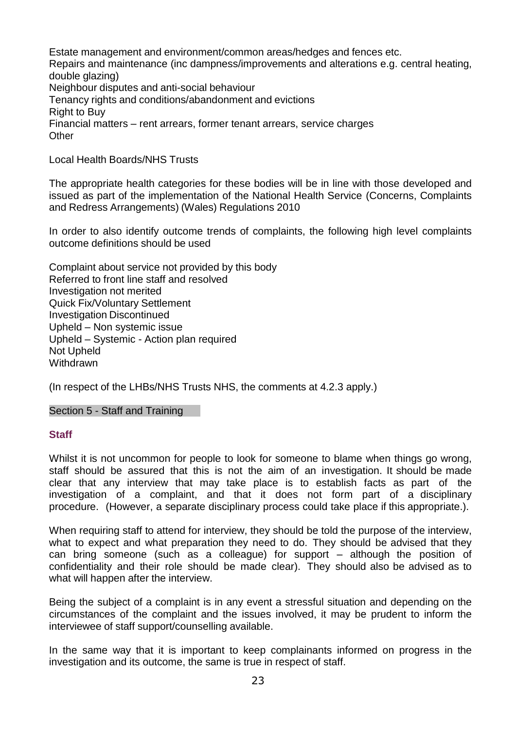Estate management and environment/common areas/hedges and fences etc. Repairs and maintenance (inc dampness/improvements and alterations e.g. central heating, double glazing) Neighbour disputes and anti-social behaviour Tenancy rights and conditions/abandonment and evictions Right to Buy Financial matters – rent arrears, former tenant arrears, service charges **Other** 

Local Health Boards/NHS Trusts

The appropriate health categories for these bodies will be in line with those developed and issued as part of the implementation of the National Health Service (Concerns, Complaints and Redress Arrangements) (Wales) Regulations 2010

In order to also identify outcome trends of complaints, the following high level complaints outcome definitions should be used

Complaint about service not provided by this body Referred to front line staff and resolved Investigation not merited Quick Fix/Voluntary Settlement Investigation Discontinued Upheld – Non systemic issue Upheld – Systemic - Action plan required Not Upheld **Withdrawn** 

(In respect of the LHBs/NHS Trusts NHS, the comments at 4.2.3 apply.)

Section 5 - Staff and Training

### **Staff**

Whilst it is not uncommon for people to look for someone to blame when things go wrong, staff should be assured that this is not the aim of an investigation. It should be made clear that any interview that may take place is to establish facts as part of the investigation of a complaint, and that it does not form part of a disciplinary procedure. (However, a separate disciplinary process could take place if this appropriate.).

When requiring staff to attend for interview, they should be told the purpose of the interview, what to expect and what preparation they need to do. They should be advised that they can bring someone (such as a colleague) for support – although the position of confidentiality and their role should be made clear). They should also be advised as to what will happen after the interview.

Being the subject of a complaint is in any event a stressful situation and depending on the circumstances of the complaint and the issues involved, it may be prudent to inform the interviewee of staff support/counselling available.

In the same way that it is important to keep complainants informed on progress in the investigation and its outcome, the same is true in respect of staff.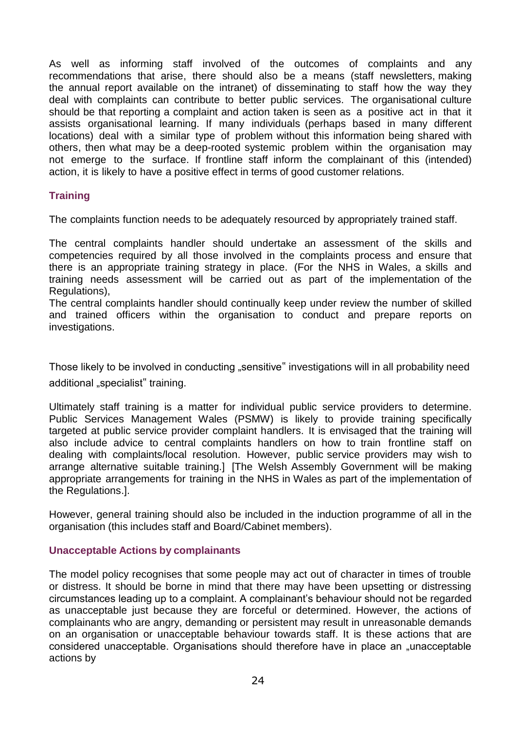As well as informing staff involved of the outcomes of complaints and any recommendations that arise, there should also be a means (staff newsletters, making the annual report available on the intranet) of disseminating to staff how the way they deal with complaints can contribute to better public services. The organisational culture should be that reporting a complaint and action taken is seen as a positive act in that it assists organisational learning. If many individuals (perhaps based in many different locations) deal with a similar type of problem without this information being shared with others, then what may be a deep-rooted systemic problem within the organisation may not emerge to the surface. If frontline staff inform the complainant of this (intended) action, it is likely to have a positive effect in terms of good customer relations.

## **Training**

The complaints function needs to be adequately resourced by appropriately trained staff.

The central complaints handler should undertake an assessment of the skills and competencies required by all those involved in the complaints process and ensure that there is an appropriate training strategy in place. (For the NHS in Wales, a skills and training needs assessment will be carried out as part of the implementation of the Regulations),

The central complaints handler should continually keep under review the number of skilled and trained officers within the organisation to conduct and prepare reports on investigations.

Those likely to be involved in conducting "sensitive" investigations will in all probability need additional "specialist" training.

Ultimately staff training is a matter for individual public service providers to determine. Public Services Management Wales (PSMW) is likely to provide training specifically targeted at public service provider complaint handlers. It is envisaged that the training will also include advice to central complaints handlers on how to train frontline staff on dealing with complaints/local resolution. However, public service providers may wish to arrange alternative suitable training.] [The Welsh Assembly Government will be making appropriate arrangements for training in the NHS in Wales as part of the implementation of the Regulations.].

However, general training should also be included in the induction programme of all in the organisation (this includes staff and Board/Cabinet members).

### **Unacceptable Actions by complainants**

The model policy recognises that some people may act out of character in times of trouble or distress. It should be borne in mind that there may have been upsetting or distressing circumstances leading up to a complaint. A complainant's behaviour should not be regarded as unacceptable just because they are forceful or determined. However, the actions of complainants who are angry, demanding or persistent may result in unreasonable demands on an organisation or unacceptable behaviour towards staff. It is these actions that are considered unacceptable. Organisations should therefore have in place an "unacceptable actions by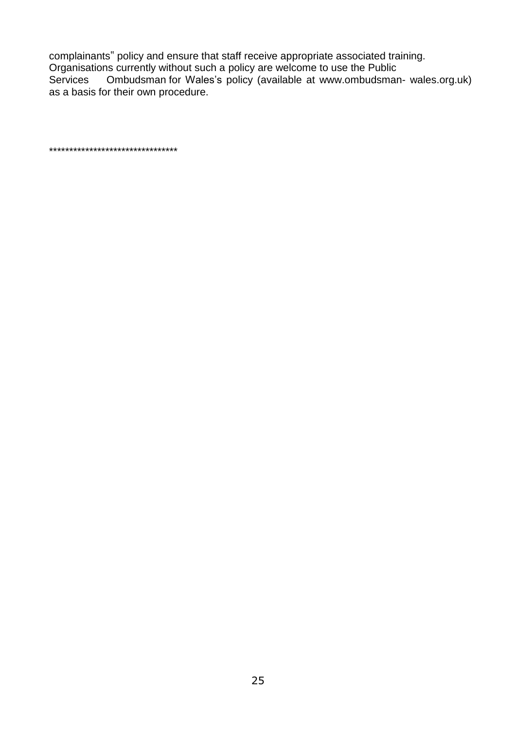complainants" policy and ensure that staff receive appropriate associated training. Organisations currently without such a policy are welcome to use the Public<br>Services Ombudsman for Wales's policy (available at www.ombudsman Ombudsman for Wales's policy (available at [www.ombudsman-](http://www.ombudsman-wales.org.uk/) [wales.org.uk\)](http://www.ombudsman-wales.org.uk/) as a basis for their own procedure.

\*\*\*\*\*\*\*\*\*\*\*\*\*\*\*\*\*\*\*\*\*\*\*\*\*\*\*\*\*\*\*\*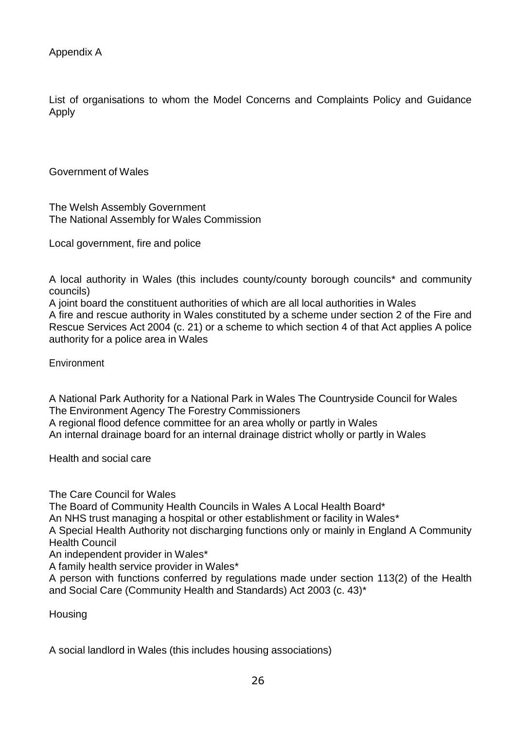List of organisations to whom the Model Concerns and Complaints Policy and Guidance Apply

Government of Wales

The Welsh Assembly Government The National Assembly for Wales Commission

Local government, fire and police

A local authority in Wales (this includes county/county borough councils\* and community councils)

A joint board the constituent authorities of which are all local authorities in Wales

A fire and rescue authority in Wales constituted by a scheme under section 2 of the Fire and Rescue Services Act 2004 (c. 21) or a scheme to which section 4 of that Act applies A police authority for a police area in Wales

**Environment** 

A National Park Authority for a National Park in Wales The Countryside Council for Wales The Environment Agency The Forestry Commissioners A regional flood defence committee for an area wholly or partly in Wales An internal drainage board for an internal drainage district wholly or partly in Wales

Health and social care

The Care Council for Wales

The Board of Community Health Councils in Wales A Local Health Board\*

An NHS trust managing a hospital or other establishment or facility in Wales\*

A Special Health Authority not discharging functions only or mainly in England A Community Health Council

An independent provider in Wales\*

A family health service provider in Wales\*

A person with functions conferred by regulations made under section 113(2) of the Health and Social Care (Community Health and Standards) Act 2003 (c. 43)\*

**Housing** 

A social landlord in Wales (this includes housing associations)